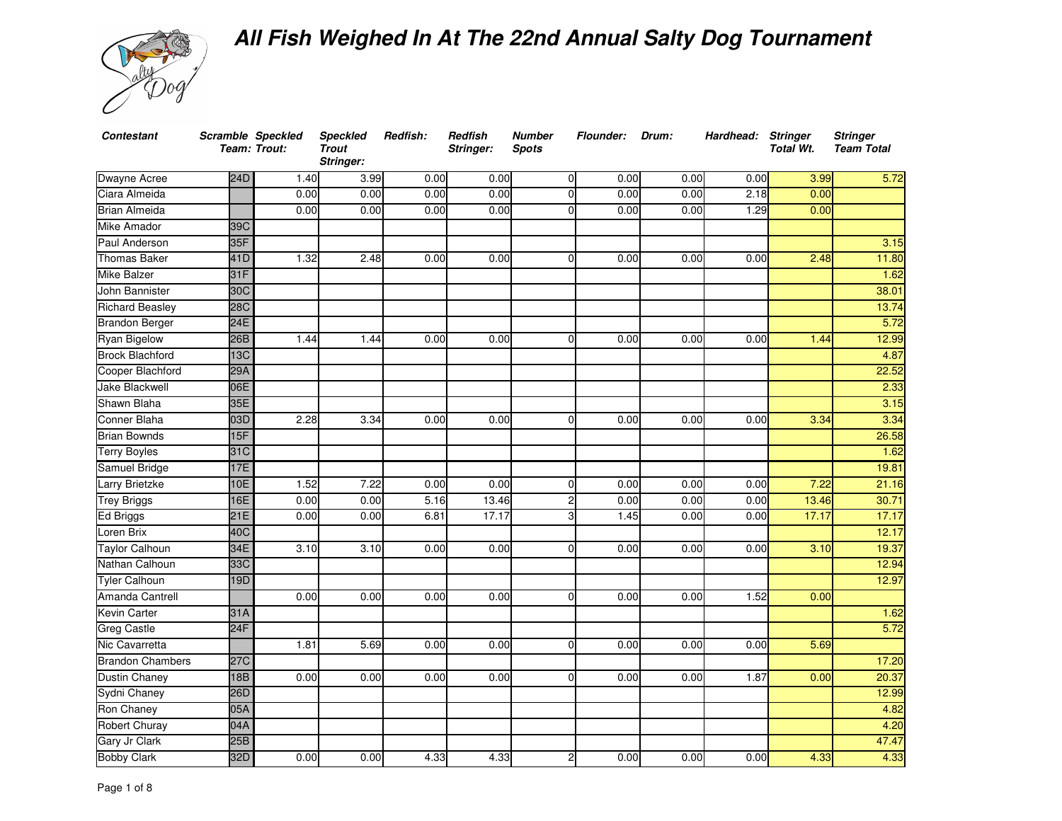

| <b>Contestant</b>       |            | Scramble Speckled<br>Team: Trout: | <b>Speckled</b><br><b>Trout</b><br>Stringer: | Redfish: | Redfish<br>Stringer: | <b>Number</b><br><b>Spots</b> | Flounder: Drum:        |      | Hardhead: Stringer | <b>Total Wt.</b> | <b>Stringer</b><br><b>Team Total</b> |
|-------------------------|------------|-----------------------------------|----------------------------------------------|----------|----------------------|-------------------------------|------------------------|------|--------------------|------------------|--------------------------------------|
| Dwayne Acree            | 24D        | 1.40                              | 3.99                                         | 0.00     | 0.00                 |                               | 0.00<br>$\Omega$       | 0.00 | 0.00               | 3.99             | 5.72                                 |
| Ciara Almeida           |            | 0.00                              | 0.00                                         | 0.00     | 0.00                 |                               | 0.00<br>$\Omega$       | 0.00 | 2.18               | 0.00             |                                      |
| <b>Brian Almeida</b>    |            | 0.00                              | 0.00                                         | 0.00     | 0.00                 |                               | 0.00<br>$\Omega$       | 0.00 | 1.29               | 0.00             |                                      |
| Mike Amador             | 39C        |                                   |                                              |          |                      |                               |                        |      |                    |                  |                                      |
| Paul Anderson           | 35F        |                                   |                                              |          |                      |                               |                        |      |                    |                  | 3.15                                 |
| Thomas Baker            | 41D        | 1.32                              | 2.48                                         | 0.00     | 0.00                 |                               | 0.00<br>$\Omega$       | 0.00 | 0.00               | 2.48             | 11.80                                |
| <b>Mike Balzer</b>      | 31F        |                                   |                                              |          |                      |                               |                        |      |                    |                  | 1.62                                 |
| John Bannister          | 30C        |                                   |                                              |          |                      |                               |                        |      |                    |                  | 38.01                                |
| <b>Richard Beasley</b>  | <b>28C</b> |                                   |                                              |          |                      |                               |                        |      |                    |                  | 13.74                                |
| <b>Brandon Berger</b>   | 24E        |                                   |                                              |          |                      |                               |                        |      |                    |                  | 5.72                                 |
| <b>Ryan Bigelow</b>     | 26B        | 1.44                              | 1.44                                         | 0.00     | 0.00                 |                               | 0.00<br>$\Omega$       | 0.00 | 0.00               | 1.44             | 12.99                                |
| <b>Brock Blachford</b>  | 13C        |                                   |                                              |          |                      |                               |                        |      |                    |                  | 4.87                                 |
| Cooper Blachford        | 29A        |                                   |                                              |          |                      |                               |                        |      |                    |                  | 22.52                                |
| <b>Jake Blackwell</b>   | 06E        |                                   |                                              |          |                      |                               |                        |      |                    |                  | 2.33                                 |
| Shawn Blaha             | 35E        |                                   |                                              |          |                      |                               |                        |      |                    |                  | 3.15                                 |
| <b>Conner Blaha</b>     | 03D        | 2.28                              | 3.34                                         | 0.00     | 0.00                 |                               | 0.00<br>$\Omega$       | 0.00 | 0.00               | 3.34             | 3.34                                 |
| <b>Brian Bownds</b>     | 15F        |                                   |                                              |          |                      |                               |                        |      |                    |                  | 26.58                                |
| <b>Terry Boyles</b>     | 31C        |                                   |                                              |          |                      |                               |                        |      |                    |                  | 1.62                                 |
| Samuel Bridge           | 17E        |                                   |                                              |          |                      |                               |                        |      |                    |                  | 19.81                                |
| Larry Brietzke          | 10E        | 1.52                              | 7.22                                         | 0.00     | 0.00                 |                               | 0.00<br>$\Omega$       | 0.00 | 0.00               | 7.22             | 21.16                                |
| <b>Trey Briggs</b>      | 16E        | 0.00                              | 0.00                                         | 5.16     | 13.46                |                               | 0.00<br>$\overline{2}$ | 0.00 | 0.00               | 13.46            | 30.71                                |
| Ed Briggs               | 21E        | 0.00                              | 0.00                                         | 6.81     | 17.17                |                               | 1.45<br>3              | 0.00 | 0.00               | 17.17            | 17.17                                |
| Loren Brix              | 40C        |                                   |                                              |          |                      |                               |                        |      |                    |                  | 12.17                                |
| Taylor Calhoun          | 34E        | 3.10                              | 3.10                                         | 0.00     | 0.00                 |                               | 0.00<br>$\Omega$       | 0.00 | 0.00               | 3.10             | 19.37                                |
| Nathan Calhoun          | 33C        |                                   |                                              |          |                      |                               |                        |      |                    |                  | 12.94                                |
| <b>Tyler Calhoun</b>    | 19D        |                                   |                                              |          |                      |                               |                        |      |                    |                  | 12.97                                |
| Amanda Cantrell         |            | 0.00                              | 0.00                                         | 0.00     | 0.00                 |                               | 0.00<br>$\Omega$       | 0.00 | 1.52               | 0.00             |                                      |
| Kevin Carter            | 31A        |                                   |                                              |          |                      |                               |                        |      |                    |                  | 1.62                                 |
| <b>Greg Castle</b>      | 24F        |                                   |                                              |          |                      |                               |                        |      |                    |                  | 5.72                                 |
| Nic Cavarretta          |            | 1.81                              | 5.69                                         | 0.00     | 0.00                 |                               | 0.00<br>$\Omega$       | 0.00 | 0.00               | 5.69             |                                      |
| <b>Brandon Chambers</b> | <b>27C</b> |                                   |                                              |          |                      |                               |                        |      |                    |                  | 17.20                                |
| <b>Dustin Chaney</b>    | 18B        | 0.00                              | 0.00                                         | 0.00     | 0.00                 |                               | 0.00<br>$\Omega$       | 0.00 | 1.87               | 0.00             | 20.37                                |
| Sydni Chaney            | 26D        |                                   |                                              |          |                      |                               |                        |      |                    |                  | 12.99                                |
| Ron Chaney              | 05A        |                                   |                                              |          |                      |                               |                        |      |                    |                  | 4.82                                 |
| <b>Robert Churay</b>    | 04A        |                                   |                                              |          |                      |                               |                        |      |                    |                  | 4.20                                 |
| Gary Jr Clark           | 25B        |                                   |                                              |          |                      |                               |                        |      |                    |                  | 47.47                                |
| <b>Bobby Clark</b>      | 32D        | 0.00                              | 0.00                                         | 4.33     | 4.33                 |                               | 0.00<br>2              | 0.00 | 0.00               | 4.33             | 4.33                                 |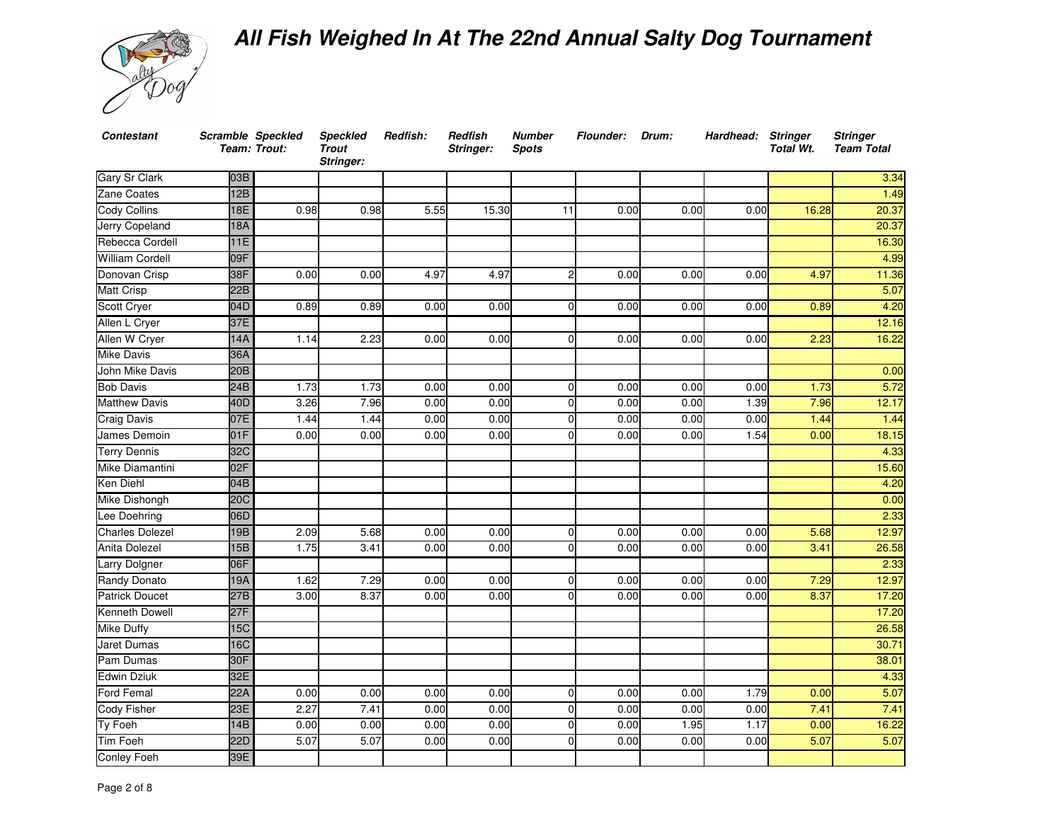

| <b>Contestant</b>      |     | Scramble Speckled<br>Team: Trout: | <b>Speckled</b><br><b>Trout</b><br><b>Stringer:</b> | Redfish: | Redfish<br>Stringer: | <b>Number</b><br><b>Spots</b> | <b>Flounder: Drum:</b> |      | Hardhead: Stringer | <b>Total Wt.</b> | <b>Stringer</b><br><b>Team Total</b> |
|------------------------|-----|-----------------------------------|-----------------------------------------------------|----------|----------------------|-------------------------------|------------------------|------|--------------------|------------------|--------------------------------------|
| <b>Gary Sr Clark</b>   | 03B |                                   |                                                     |          |                      |                               |                        |      |                    |                  | 3.34                                 |
| Zane Coates            | 12B |                                   |                                                     |          |                      |                               |                        |      |                    |                  | 1.49                                 |
| <b>Cody Collins</b>    | 18E | 0.98                              | 0.98                                                | 5.55     | 15.30                | 11                            | 0.00                   | 0.00 | 0.00               | 16.28            | 20.37                                |
| Jerry Copeland         | 18A |                                   |                                                     |          |                      |                               |                        |      |                    |                  | 20.37                                |
| Rebecca Cordell        | 11E |                                   |                                                     |          |                      |                               |                        |      |                    |                  | 16.30                                |
| <b>William Cordell</b> | 09F |                                   |                                                     |          |                      |                               |                        |      |                    |                  | 4.99                                 |
| Donovan Crisp          | 38F | 0.00                              | 0.00                                                | 4.97     | 4.97                 | $\overline{2}$                | 0.00                   | 0.00 | 0.00               | 4.97             | 11.36                                |
| <b>Matt Crisp</b>      | 22B |                                   |                                                     |          |                      |                               |                        |      |                    |                  | 5.07                                 |
| Scott Cryer            | 04D | 0.89                              | 0.89                                                | 0.00     | 0.00                 | $\Omega$                      | 0.00                   | 0.00 | 0.00               | 0.89             | 4.20                                 |
| Allen L Cryer          | 37E |                                   |                                                     |          |                      |                               |                        |      |                    |                  | 12.16                                |
| Allen W Cryer          | 14A | 1.14                              | 2.23                                                | 0.00     | 0.00                 | $\Omega$                      | 0.00                   | 0.00 | 0.00               | 2.23             | 16.22                                |
| <b>Mike Davis</b>      | 36A |                                   |                                                     |          |                      |                               |                        |      |                    |                  |                                      |
| <b>John Mike Davis</b> | 20B |                                   |                                                     |          |                      |                               |                        |      |                    |                  | 0.00                                 |
| <b>Bob Davis</b>       | 24B | 1.73                              | 1.73                                                | 0.00     | 0.00                 | $\overline{0}$                | 0.00                   | 0.00 | 0.00               | 1.73             | 5.72                                 |
| <b>Matthew Davis</b>   | 40D | 3.26                              | 7.96                                                | 0.00     | 0.00                 | $\mathbf{0}$                  | 0.00                   | 0.00 | 1.39               | 7.96             | 12.17                                |
| <b>Craig Davis</b>     | 07E | 1.44                              | 1.44                                                | 0.00     | 0.00                 | $\mathbf{0}$                  | 0.00                   | 0.00 | 0.00               | 1.44             | 1.44                                 |
| James Demoin           | 01F | 0.00                              | 0.00                                                | 0.00     | 0.00                 | $\overline{0}$                | 0.00                   | 0.00 | 1.54               | 0.00             | 18.15                                |
| <b>Terry Dennis</b>    | 32C |                                   |                                                     |          |                      |                               |                        |      |                    |                  | 4.33                                 |
| Mike Diamantini        | 02F |                                   |                                                     |          |                      |                               |                        |      |                    |                  | 15.60                                |
| Ken Diehl              | 04B |                                   |                                                     |          |                      |                               |                        |      |                    |                  | 4.20                                 |
| Mike Dishongh          | 20C |                                   |                                                     |          |                      |                               |                        |      |                    |                  | 0.00                                 |
| Lee Doehring           | 06D |                                   |                                                     |          |                      |                               |                        |      |                    |                  | 2.33                                 |
| <b>Charles Dolezel</b> | 19B | 2.09                              | 5.68                                                | 0.00     | 0.00                 | $\overline{0}$                | 0.00                   | 0.00 | 0.00               | 5.68             | 12.97                                |
| Anita Dolezel          | 15B | 1.75                              | 3.41                                                | 0.00     | 0.00                 | $\Omega$                      | 0.00                   | 0.00 | 0.00               | 3.41             | 26.58                                |
| Larry Dolgner          | 06F |                                   |                                                     |          |                      |                               |                        |      |                    |                  | 2.33                                 |
| Randy Donato           | 19A | 1.62                              | 7.29                                                | 0.00     | 0.00                 | 0l                            | 0.00                   | 0.00 | 0.00               | 7.29             | 12.97                                |
| <b>Patrick Doucet</b>  | 27B | 3.00                              | 8.37                                                | 0.00     | 0.00                 | $\Omega$                      | 0.00                   | 0.00 | 0.00               | 8.37             | 17.20                                |
| <b>Kenneth Dowell</b>  | 27F |                                   |                                                     |          |                      |                               |                        |      |                    |                  | 17.20                                |
| <b>Mike Duffy</b>      | 15C |                                   |                                                     |          |                      |                               |                        |      |                    |                  | 26.58                                |
| <b>Jaret Dumas</b>     | 16C |                                   |                                                     |          |                      |                               |                        |      |                    |                  | 30.71                                |
| Pam Dumas              | 30F |                                   |                                                     |          |                      |                               |                        |      |                    |                  | 38.01                                |
| <b>Edwin Dziuk</b>     | 32E |                                   |                                                     |          |                      |                               |                        |      |                    |                  | 4.33                                 |
| Ford Femal             | 22A | 0.00                              | 0.00                                                | 0.00     | 0.00                 | $\overline{0}$                | 0.00                   | 0.00 | 1.79               | 0.00             | 5.07                                 |
| <b>Cody Fisher</b>     | 23E | 2.27                              | 7.41                                                | 0.00     | 0.00                 | $\mathbf{0}$                  | 0.00                   | 0.00 | 0.00               | 7.41             | 7.41                                 |
| Ty Foeh                | 14B | 0.00                              | 0.00                                                | 0.00     | 0.00                 | 0                             | 0.00                   | 1.95 | 1.17               | 0.00             | 16.22                                |
| <b>Tim Foeh</b>        | 22D | 5.07                              | 5.07                                                | 0.00     | 0.00                 | $\Omega$                      | 0.00                   | 0.00 | 0.00               | 5.07             | 5.07                                 |
| Conley Foeh            | 39E |                                   |                                                     |          |                      |                               |                        |      |                    |                  |                                      |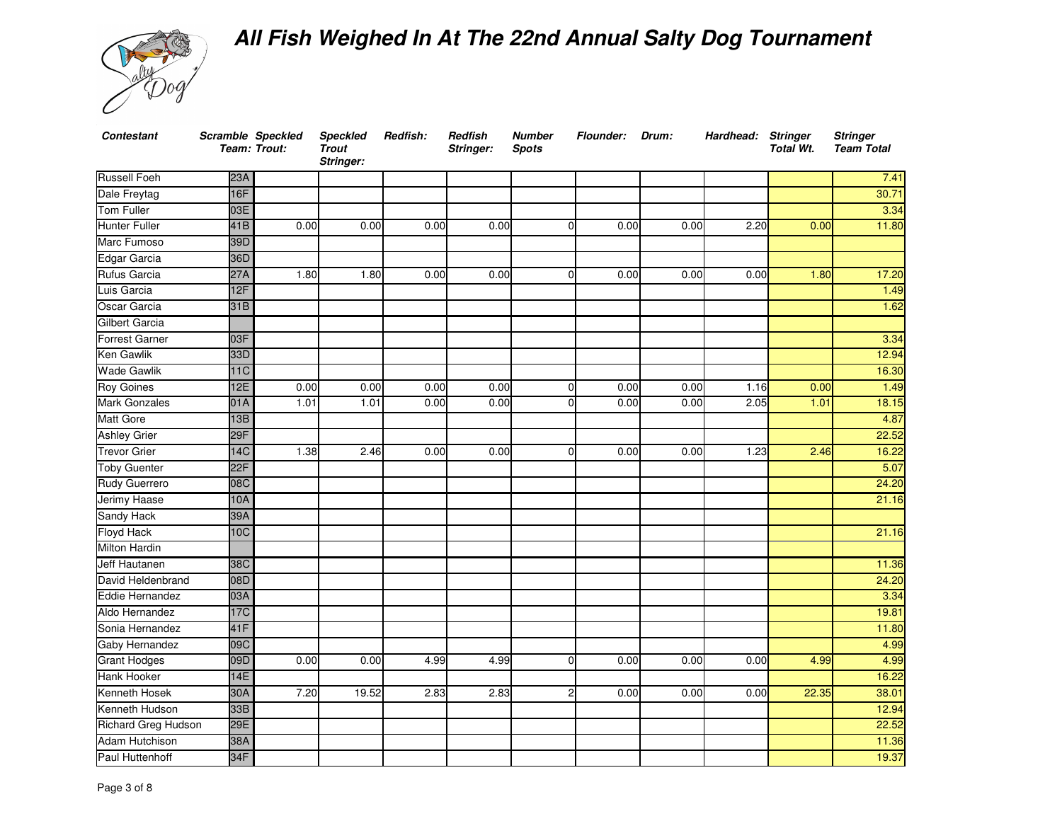

| <b>Contestant</b>      |            | Scramble Speckled<br>Team: Trout: | <b>Speckled</b><br><b>Trout</b><br>Stringer: | Redfish: | Redfish<br>Stringer: | <b>Number</b><br><b>Spots</b> | Flounder: Drum:  |      | Hardhead: Stringer | <b>Total Wt.</b> | <b>Stringer</b><br><b>Team Total</b> |
|------------------------|------------|-----------------------------------|----------------------------------------------|----------|----------------------|-------------------------------|------------------|------|--------------------|------------------|--------------------------------------|
| <b>Russell Foeh</b>    | 23A        |                                   |                                              |          |                      |                               |                  |      |                    |                  | 7.41                                 |
| Dale Freytag           | 16F        |                                   |                                              |          |                      |                               |                  |      |                    |                  | 30.71                                |
| <b>Tom Fuller</b>      | 03E        |                                   |                                              |          |                      |                               |                  |      |                    |                  | 3.34                                 |
| Hunter Fuller          | 41B        | 0.00                              | 0.00                                         | 0.00     | 0.00                 |                               | 0.00<br>$\Omega$ | 0.00 | 2.20               | 0.00             | 11.80                                |
| Marc Fumoso            | 39D        |                                   |                                              |          |                      |                               |                  |      |                    |                  |                                      |
| Edgar Garcia           | 36D        |                                   |                                              |          |                      |                               |                  |      |                    |                  |                                      |
| Rufus Garcia           | 27A        | 1.80                              | 1.80                                         | 0.00     | 0.00                 |                               | 0.00<br>$\Omega$ | 0.00 | 0.00               | 1.80             | 17.20                                |
| Luis Garcia            | 12F        |                                   |                                              |          |                      |                               |                  |      |                    |                  | $\frac{1.49}{0.49}$                  |
| Oscar Garcia           | 31B        |                                   |                                              |          |                      |                               |                  |      |                    |                  | 1.62                                 |
| Gilbert Garcia         |            |                                   |                                              |          |                      |                               |                  |      |                    |                  |                                      |
| <b>Forrest Garner</b>  | 03F        |                                   |                                              |          |                      |                               |                  |      |                    |                  | 3.34                                 |
| Ken Gawlik             | 33D        |                                   |                                              |          |                      |                               |                  |      |                    |                  | 12.94                                |
| <b>Wade Gawlik</b>     | 11C        |                                   |                                              |          |                      |                               |                  |      |                    |                  | 16.30                                |
| <b>Roy Goines</b>      | 12E        | 0.00                              | 0.00                                         | 0.00     | 0.00                 |                               | 0.00<br>$\Omega$ | 0.00 | 1.16               | 0.00             | 1.49                                 |
| Mark Gonzales          | 01A        | 1.01                              | 1.01                                         | 0.00     | 0.00                 |                               | 0.00<br>$\Omega$ | 0.00 | 2.05               | 1.01             | 18.15                                |
| Matt Gore              | 13B        |                                   |                                              |          |                      |                               |                  |      |                    |                  | 4.87                                 |
| <b>Ashley Grier</b>    | 29F        |                                   |                                              |          |                      |                               |                  |      |                    |                  | 22.52                                |
| Trevor Grier           | <b>14C</b> | 1.38                              | 2.46                                         | 0.00     | 0.00                 | $\Omega$                      | 0.00             | 0.00 | 1.23               | 2.46             | 16.22                                |
| <b>Toby Guenter</b>    | 22F        |                                   |                                              |          |                      |                               |                  |      |                    |                  | 5.07                                 |
| Rudy Guerrero          | 08C        |                                   |                                              |          |                      |                               |                  |      |                    |                  | 24.20                                |
| Jerimy Haase           | 10A        |                                   |                                              |          |                      |                               |                  |      |                    |                  | 21.16                                |
| Sandy Hack             | 39A        |                                   |                                              |          |                      |                               |                  |      |                    |                  |                                      |
| <b>Floyd Hack</b>      | 10C        |                                   |                                              |          |                      |                               |                  |      |                    |                  | 21.16                                |
| Milton Hardin          |            |                                   |                                              |          |                      |                               |                  |      |                    |                  |                                      |
| Jeff Hautanen          | 38C        |                                   |                                              |          |                      |                               |                  |      |                    |                  | 11.36                                |
| David Heldenbrand      | 08D        |                                   |                                              |          |                      |                               |                  |      |                    |                  | 24.20                                |
| <b>Eddie Hernandez</b> | 03A        |                                   |                                              |          |                      |                               |                  |      |                    |                  | 3.34                                 |
| Aldo Hernandez         | <b>17C</b> |                                   |                                              |          |                      |                               |                  |      |                    |                  | 19.81                                |
| Sonia Hernandez        | 41F        |                                   |                                              |          |                      |                               |                  |      |                    |                  | 11.80                                |
| Gaby Hernandez         | 09C        |                                   |                                              |          |                      |                               |                  |      |                    |                  | 4.99                                 |
| <b>Grant Hodges</b>    | 09D        | 0.00                              | 0.00                                         | 4.99     | 4.99                 | $\Omega$                      | 0.00             | 0.00 | 0.00               | 4.99             | 4.99                                 |
| <b>Hank Hooker</b>     | 14E        |                                   |                                              |          |                      |                               |                  |      |                    |                  | 16.22                                |
| Kenneth Hosek          | 30A        | 7.20                              | 19.52                                        | 2.83     | 2.83                 |                               | 0.00<br>2        | 0.00 | 0.00               | 22.35            | 38.01                                |
| Kenneth Hudson         | 33B        |                                   |                                              |          |                      |                               |                  |      |                    |                  | 12.94                                |
| Richard Greg Hudson    | 29E        |                                   |                                              |          |                      |                               |                  |      |                    |                  | 22.52                                |
| Adam Hutchison         | 38A        |                                   |                                              |          |                      |                               |                  |      |                    |                  | 11.36                                |
| Paul Huttenhoff        | 34F        |                                   |                                              |          |                      |                               |                  |      |                    |                  | 19.37                                |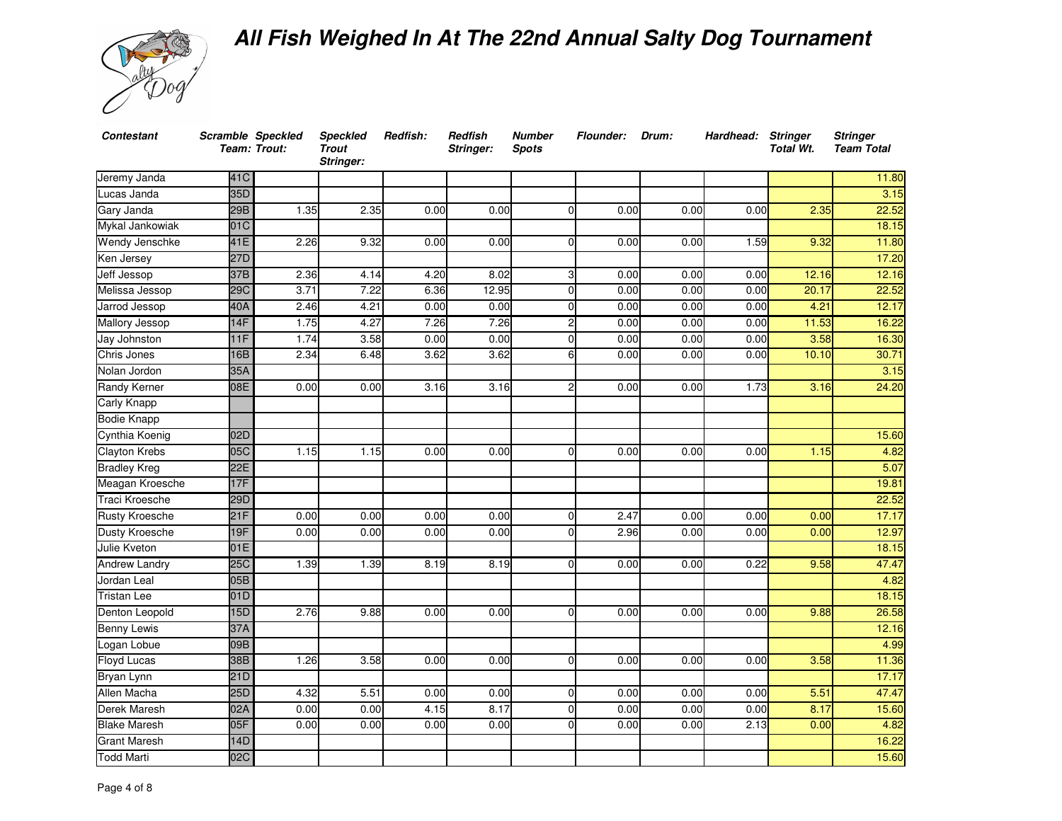

| <b>Contestant</b>     | Scramble Speckled | Team: Trout: | <b>Speckled</b><br><b>Trout</b><br>Stringer: | Redfish: | Redfish<br>Stringer: | <b>Number</b><br><b>Spots</b> | <b>Flounder:</b>     | Drum: | Hardhead: Stringer | <b>Total Wt.</b> | <b>Stringer</b><br><b>Team Total</b> |
|-----------------------|-------------------|--------------|----------------------------------------------|----------|----------------------|-------------------------------|----------------------|-------|--------------------|------------------|--------------------------------------|
| Jeremy Janda          | 41C               |              |                                              |          |                      |                               |                      |       |                    |                  | 11.80                                |
| Lucas Janda           | 35D               |              |                                              |          |                      |                               |                      |       |                    |                  | 3.15                                 |
| Gary Janda            | 29B               | 1.35         | 2.35                                         | 0.00     | 0.00                 |                               | 0.00<br>$\Omega$     | 0.00  | 0.00               | 2.35             | 22.52                                |
| Mykal Jankowiak       | 01C               |              |                                              |          |                      |                               |                      |       |                    |                  | 18.15                                |
| Wendy Jenschke        | 41E               | 2.26         | 9.32                                         | 0.00     | 0.00                 | $\Omega$                      | 0.00                 | 0.00  | 1.59               | 9.32             | 11.80                                |
| Ken Jersey            | 27D               |              |                                              |          |                      |                               |                      |       |                    |                  | 17.20                                |
| Jeff Jessop           | 37B               | 2.36         | 4.14                                         | 4.20     | 8.02                 |                               | 0.00<br>3            | 0.00  | 0.00               | 12.16            | 12.16                                |
| Melissa Jessop        | 29C               | 3.71         | 7.22                                         | 6.36     | 12.95                | $\Omega$                      | 0.00                 | 0.00  | 0.00               | 20.17            | 22.52                                |
| Jarrod Jessop         | 40A               | 2.46         | 4.21                                         | 0.00     | 0.00                 | $\Omega$                      | 0.00                 | 0.00  | 0.00               | 4.21             | 12.17                                |
| Mallory Jessop        | 14F               | 1.75         | 4.27                                         | 7.26     | 7.26                 |                               | 0.00                 | 0.00  | 0.00               | 11.53            | 16.22                                |
| Jay Johnston          | 11F               | 1.74         | 3.58                                         | 0.00     | 0.00                 |                               | 0.00<br>$\Omega$     | 0.00  | 0.00               | 3.58             | 16.30                                |
| Chris Jones           | 16B               | 2.34         | 6.48                                         | 3.62     | 3.62                 |                               | 0.00<br>6            | 0.00  | 0.00               | 10.10            | 30.71                                |
| Nolan Jordon          | 35A               |              |                                              |          |                      |                               |                      |       |                    |                  | 3.15                                 |
| <b>Randy Kerner</b>   | 08E               | 0.00         | 0.00                                         | 3.16     | 3.16                 |                               | 0.00                 | 0.00  | 1.73               | 3.16             | 24.20                                |
| Carly Knapp           |                   |              |                                              |          |                      |                               |                      |       |                    |                  |                                      |
| <b>Bodie Knapp</b>    |                   |              |                                              |          |                      |                               |                      |       |                    |                  |                                      |
| Cynthia Koenig        | 02D               |              |                                              |          |                      |                               |                      |       |                    |                  | 15.60                                |
| <b>Clayton Krebs</b>  | 05C               | 1.15         | 1.15                                         | 0.00     | 0.00                 | $\Omega$                      | 0.00                 | 0.00  | 0.00               | 1.15             | 4.82                                 |
| <b>Bradley Kreg</b>   | 22E               |              |                                              |          |                      |                               |                      |       |                    |                  | 5.07                                 |
| Meagan Kroesche       | 17F               |              |                                              |          |                      |                               |                      |       |                    |                  | 19.81                                |
| Traci Kroesche        | 29D               |              |                                              |          |                      |                               |                      |       |                    |                  | 22.52                                |
| <b>Rusty Kroesche</b> | 21F               | 0.00         | 0.00                                         | 0.00     | 0.00                 |                               | 2.47<br>$\Omega$     | 0.00  | 0.00               | 0.00             | 17.17                                |
| Dusty Kroesche        | 19F               | 0.00         | 0.00                                         | 0.00     | 0.00                 |                               | 2.96<br>$\Omega$     | 0.00  | 0.00               | 0.00             | 12.97                                |
| Julie Kveton          | 01E               |              |                                              |          |                      |                               |                      |       |                    |                  | 18.15                                |
| Andrew Landry         | 25C               | 1.39         | 1.39                                         | 8.19     | 8.19                 |                               | 0.00<br>$\mathbf{0}$ | 0.00  | 0.22               | 9.58             | 47.47                                |
| Jordan Leal           | 05B               |              |                                              |          |                      |                               |                      |       |                    |                  | 4.82                                 |
| <b>Tristan Lee</b>    | 01D               |              |                                              |          |                      |                               |                      |       |                    |                  | 18.15                                |
| Denton Leopold        | 15D               | 2.76         | 9.88                                         | 0.00     | 0.00                 | $\Omega$                      | 0.00                 | 0.00  | 0.00               | 9.88             | 26.58                                |
| <b>Benny Lewis</b>    | 37A               |              |                                              |          |                      |                               |                      |       |                    |                  | 12.16                                |
| Logan Lobue           | 09B               |              |                                              |          |                      |                               |                      |       |                    |                  | 4.99                                 |
| <b>Floyd Lucas</b>    | 38B               | 1.26         | 3.58                                         | 0.00     | 0.00                 | $\Omega$                      | 0.00                 | 0.00  | 0.00               | 3.58             | 11.36                                |
| Bryan Lynn            | 21D               |              |                                              |          |                      |                               |                      |       |                    |                  | 17.17                                |
| Allen Macha           | 25D               | 4.32         | 5.51                                         | 0.00     | 0.00                 |                               | 0.00<br>$\Omega$     | 0.00  | 0.00               | 5.51             | 47.47                                |
| <b>Derek Maresh</b>   | 02A               | 0.00         | 0.00                                         | 4.15     | 8.17                 |                               | 0.00<br>$\mathbf{0}$ | 0.00  | 0.00               | 8.17             | 15.60                                |
| <b>Blake Maresh</b>   | 05F               | 0.00         | 0.00                                         | 0.00     | 0.00                 | $\Omega$                      | 0.00                 | 0.00  | 2.13               | 0.00             | 4.82                                 |
| <b>Grant Maresh</b>   | 14D               |              |                                              |          |                      |                               |                      |       |                    |                  | 16.22                                |
| <b>Todd Marti</b>     | 02C               |              |                                              |          |                      |                               |                      |       |                    |                  | 15.60                                |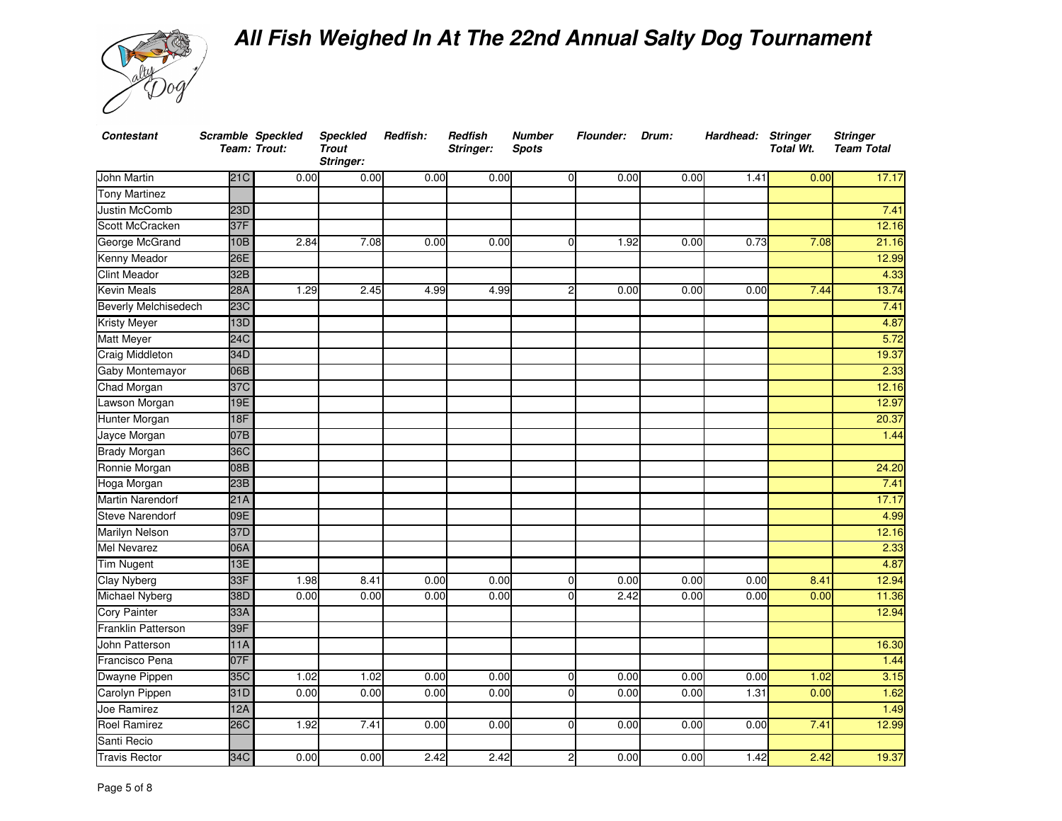

| <b>Contestant</b>      |            | Scramble Speckled<br>Team: Trout: | <b>Speckled</b><br><b>Trout</b><br>Stringer: | Redfish: | Redfish<br><b>Stringer:</b> | <b>Number</b><br><b>Spots</b> | <b>Flounder:</b>       | Drum: | Hardhead: Stringer | <b>Total Wt.</b> | <b>Stringer</b><br><b>Team Total</b> |
|------------------------|------------|-----------------------------------|----------------------------------------------|----------|-----------------------------|-------------------------------|------------------------|-------|--------------------|------------------|--------------------------------------|
| John Martin            | 21C        | 0.00                              | 0.00                                         | 0.00     | 0.00                        |                               | 0.00<br>0l             | 0.00  | 1.41               | 0.00             | 17.17                                |
| <b>Tony Martinez</b>   |            |                                   |                                              |          |                             |                               |                        |       |                    |                  |                                      |
| Justin McComb          | 23D        |                                   |                                              |          |                             |                               |                        |       |                    |                  | 7.41                                 |
| Scott McCracken        | 37F        |                                   |                                              |          |                             |                               |                        |       |                    |                  | 12.16                                |
| George McGrand         | 10B        | 2.84                              | 7.08                                         | 0.00     | 0.00                        |                               | 1.92<br>$\Omega$       | 0.00  | 0.73               | 7.08             | 21.16                                |
| Kenny Meador           | 26E        |                                   |                                              |          |                             |                               |                        |       |                    |                  | 12.99                                |
| <b>Clint Meador</b>    | 32B        |                                   |                                              |          |                             |                               |                        |       |                    |                  | 4.33                                 |
| <b>Kevin Meals</b>     | 28A        | 1.29                              | 2.45                                         | 4.99     | 4.99                        |                               | $\overline{c}$<br>0.00 | 0.00  | 0.00               | 7.44             | 13.74                                |
| Beverly Melchisedech   | <b>23C</b> |                                   |                                              |          |                             |                               |                        |       |                    |                  | 7.41                                 |
| <b>Kristy Meyer</b>    | 13D        |                                   |                                              |          |                             |                               |                        |       |                    |                  | 4.87                                 |
| <b>Matt Meyer</b>      | 24C        |                                   |                                              |          |                             |                               |                        |       |                    |                  | 5.72                                 |
| Craig Middleton        | 34D        |                                   |                                              |          |                             |                               |                        |       |                    |                  | 19.37                                |
| <b>Gaby Montemayor</b> | 06B        |                                   |                                              |          |                             |                               |                        |       |                    |                  | 2.33                                 |
| Chad Morgan            | 37C        |                                   |                                              |          |                             |                               |                        |       |                    |                  | 12.16                                |
| awson Morgan           | 19E        |                                   |                                              |          |                             |                               |                        |       |                    |                  | 12.97                                |
| Hunter Morgan          | 18F        |                                   |                                              |          |                             |                               |                        |       |                    |                  | 20.37                                |
| Jayce Morgan           | 07B        |                                   |                                              |          |                             |                               |                        |       |                    |                  | 1.44                                 |
| <b>Brady Morgan</b>    | 36C        |                                   |                                              |          |                             |                               |                        |       |                    |                  |                                      |
| Ronnie Morgan          | 08B        |                                   |                                              |          |                             |                               |                        |       |                    |                  | 24.20                                |
| Hoga Morgan            | 23B        |                                   |                                              |          |                             |                               |                        |       |                    |                  | 7.41                                 |
| Martin Narendorf       | 21A        |                                   |                                              |          |                             |                               |                        |       |                    |                  | 17.17                                |
| <b>Steve Narendorf</b> | 09E        |                                   |                                              |          |                             |                               |                        |       |                    |                  | 4.99                                 |
| Marilyn Nelson         | 37D        |                                   |                                              |          |                             |                               |                        |       |                    |                  | 12.16                                |
| <b>Mel Nevarez</b>     | 06A        |                                   |                                              |          |                             |                               |                        |       |                    |                  | 2.33                                 |
| <b>Tim Nugent</b>      | 13E        |                                   |                                              |          |                             |                               |                        |       |                    |                  | 4.87                                 |
| Clay Nyberg            | 33F        | 1.98                              | 8.41                                         | 0.00     | 0.00                        |                               | 0.00<br>0              | 0.00  | 0.00               | 8.41             | 12.94                                |
| Michael Nyberg         | 38D        | 0.00                              | 0.00                                         | 0.00     | 0.00                        |                               | 2.42<br>$\Omega$       | 0.00  | 0.00               | 0.00             | 11.36                                |
| Cory Painter           | 33A        |                                   |                                              |          |                             |                               |                        |       |                    |                  | 12.94                                |
| Franklin Patterson     | 39F        |                                   |                                              |          |                             |                               |                        |       |                    |                  |                                      |
| <b>John Patterson</b>  | 11A        |                                   |                                              |          |                             |                               |                        |       |                    |                  | 16.30                                |
| Francisco Pena         | 07F        |                                   |                                              |          |                             |                               |                        |       |                    |                  | 1.44                                 |
| Dwayne Pippen          | 35C        | 1.02                              | 1.02                                         | 0.00     | 0.00                        |                               | 0.00<br>$\overline{0}$ | 0.00  | 0.00               | 1.02             | 3.15                                 |
| Carolyn Pippen         | 31D        | 0.00                              | 0.00                                         | 0.00     | 0.00                        |                               | 0.00<br>$\overline{0}$ | 0.00  | 1.31               | 0.00             | 1.62                                 |
| <b>Joe Ramirez</b>     | 12A        |                                   |                                              |          |                             |                               |                        |       |                    |                  | 1.49                                 |
| <b>Roel Ramirez</b>    | 26C        | 1.92                              | 7.41                                         | 0.00     | 0.00                        |                               | 0.00<br>$\overline{0}$ | 0.00  | 0.00               | 7.41             | 12.99                                |
| Santi Recio            |            |                                   |                                              |          |                             |                               |                        |       |                    |                  |                                      |
| <b>Travis Rector</b>   | 34C        | 0.00                              | 0.00                                         | 2.42     | 2.42                        |                               | 0.00<br>2              | 0.00  | 1.42               | 2.42             | 19.37                                |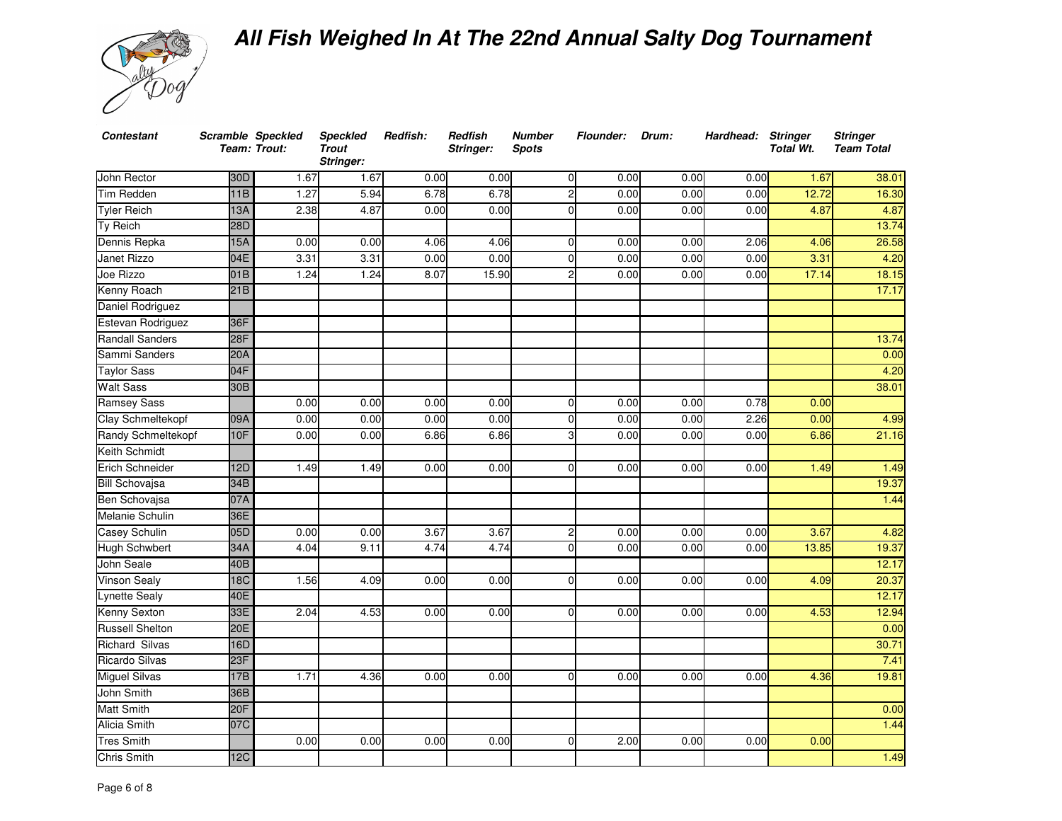

| <b>Contestant</b>        |                 | Scramble Speckled<br>Team: Trout: | <b>Speckled</b><br><b>Trout</b><br>Stringer: | Redfish: | Redfish<br>Stringer: | <b>Number</b><br><b>Spots</b> | <b>Flounder:</b> | Drum: | Hardhead: Stringer | <b>Total Wt.</b> | <b>Stringer</b><br><b>Team Total</b> |
|--------------------------|-----------------|-----------------------------------|----------------------------------------------|----------|----------------------|-------------------------------|------------------|-------|--------------------|------------------|--------------------------------------|
| John Rector              | 30D             | 1.67                              | 1.67                                         | 0.00     | 0.00                 |                               | 0.00<br>$\Omega$ | 0.00  | 0.00               | 1.67             | 38.01                                |
| Tim Redden               | 11B             | 1.27                              | 5.94                                         | 6.78     | 6.78                 |                               | 0.00<br>2        | 0.00  | 0.00               | 12.72            | 16.30                                |
| <b>Tyler Reich</b>       | 13A             | 2.38                              | 4.87                                         | 0.00     | 0.00                 |                               | $\Omega$<br>0.00 | 0.00  | 0.00               | 4.87             | 4.87                                 |
| Ty Reich                 | 28D             |                                   |                                              |          |                      |                               |                  |       |                    |                  | 13.74                                |
| Dennis Repka             | 15A             | 0.00                              | 0.00                                         | 4.06     | 4.06                 |                               | 0.00<br>$\Omega$ | 0.00  | 2.06               | 4.06             | 26.58                                |
| Janet Rizzo              | 04E             | 3.31                              | 3.31                                         | 0.00     | 0.00                 |                               | 0.00<br>$\Omega$ | 0.00  | 0.00               | 3.31             | 4.20                                 |
| Joe Rizzo                | 01B             | 1.24                              | 1.24                                         | 8.07     | 15.90                |                               | 0.00             | 0.00  | 0.00               | 17.14            | 18.15                                |
| Kenny Roach              | 21B             |                                   |                                              |          |                      |                               |                  |       |                    |                  | 17.17                                |
| Daniel Rodriguez         |                 |                                   |                                              |          |                      |                               |                  |       |                    |                  |                                      |
| Estevan Rodriguez        | 36F             |                                   |                                              |          |                      |                               |                  |       |                    |                  |                                      |
| <b>Randall Sanders</b>   | 28F             |                                   |                                              |          |                      |                               |                  |       |                    |                  | 13.74                                |
| Sammi Sanders            | 20A             |                                   |                                              |          |                      |                               |                  |       |                    |                  | 0.00                                 |
| <b>Taylor Sass</b>       | 04F             |                                   |                                              |          |                      |                               |                  |       |                    |                  | 4.20                                 |
| <b>Walt Sass</b>         | 30 <sub>B</sub> |                                   |                                              |          |                      |                               |                  |       |                    |                  | 38.01                                |
| Ramsey Sass              |                 | 0.00                              | 0.00                                         | 0.00     | 0.00                 |                               | 0.00<br>$\Omega$ | 0.00  | 0.78               | 0.00             |                                      |
| <b>Clay Schmeltekopf</b> | 09A             | 0.00                              | 0.00                                         | 0.00     | 0.00                 |                               | 0.00<br>$\Omega$ | 0.00  | 2.26               | 0.00             | 4.99                                 |
| Randy Schmeltekopf       | 10F             | 0.00                              | 0.00                                         | 6.86     | 6.86                 |                               | 0.00<br>3        | 0.00  | 0.00               | 6.86             | 21.16                                |
| Keith Schmidt            |                 |                                   |                                              |          |                      |                               |                  |       |                    |                  |                                      |
| Erich Schneider          | 12D             | 1.49                              | 1.49                                         | 0.00     | 0.00                 |                               | 0.00<br>$\Omega$ | 0.00  | 0.00               | 1.49             | $\frac{1.49}{0.49}$                  |
| <b>Bill Schovajsa</b>    | 34B             |                                   |                                              |          |                      |                               |                  |       |                    |                  | 19.37                                |
| Ben Schovajsa            | 07A             |                                   |                                              |          |                      |                               |                  |       |                    |                  | 1.44                                 |
| Melanie Schulin          | 36E             |                                   |                                              |          |                      |                               |                  |       |                    |                  |                                      |
| <b>Casey Schulin</b>     | 05D             | 0.00                              | 0.00                                         | 3.67     | 3.67                 |                               | 0.00             | 0.00  | 0.00               | 3.67             | 4.82                                 |
| Hugh Schwbert            | 34A             | 4.04                              | 9.11                                         | 4.74     | 4.74                 |                               | 0.00<br>$\Omega$ | 0.00  | 0.00               | 13.85            | 19.37                                |
| John Seale               | 40B             |                                   |                                              |          |                      |                               |                  |       |                    |                  | 12.17                                |
| Vinson Sealy             | <b>18C</b>      | 1.56                              | 4.09                                         | 0.00     | 0.00                 |                               | 0.00<br>$\Omega$ | 0.00  | 0.00               | 4.09             | 20.37                                |
| <b>Lynette Sealy</b>     | 40E             |                                   |                                              |          |                      |                               |                  |       |                    |                  | 12.17                                |
| Kenny Sexton             | 33E             | 2.04                              | 4.53                                         | 0.00     | 0.00                 |                               | 0.00<br>$\Omega$ | 0.00  | 0.00               | 4.53             | 12.94                                |
| <b>Russell Shelton</b>   | 20E             |                                   |                                              |          |                      |                               |                  |       |                    |                  | 0.00                                 |
| <b>Richard Silvas</b>    | 16D             |                                   |                                              |          |                      |                               |                  |       |                    |                  | 30.71                                |
| <b>Ricardo Silvas</b>    | 23F             |                                   |                                              |          |                      |                               |                  |       |                    |                  | 7.41                                 |
| <b>Miguel Silvas</b>     | 17B             | 1.71                              | 4.36                                         | 0.00     | 0.00                 |                               | 0.00<br>$\Omega$ | 0.00  | 0.00               | 4.36             | 19.81                                |
| John Smith               | 36B             |                                   |                                              |          |                      |                               |                  |       |                    |                  |                                      |
| <b>Matt Smith</b>        | 20F             |                                   |                                              |          |                      |                               |                  |       |                    |                  | 0.00                                 |
| Alicia Smith             | 07C             |                                   |                                              |          |                      |                               |                  |       |                    |                  | 1.44                                 |
| <b>Tres Smith</b>        |                 | 0.00                              | 0.00                                         | 0.00     | 0.00                 |                               | 2.00<br>$\Omega$ | 0.00  | 0.00               | 0.00             |                                      |
| <b>Chris Smith</b>       | 12C             |                                   |                                              |          |                      |                               |                  |       |                    |                  | 1.49                                 |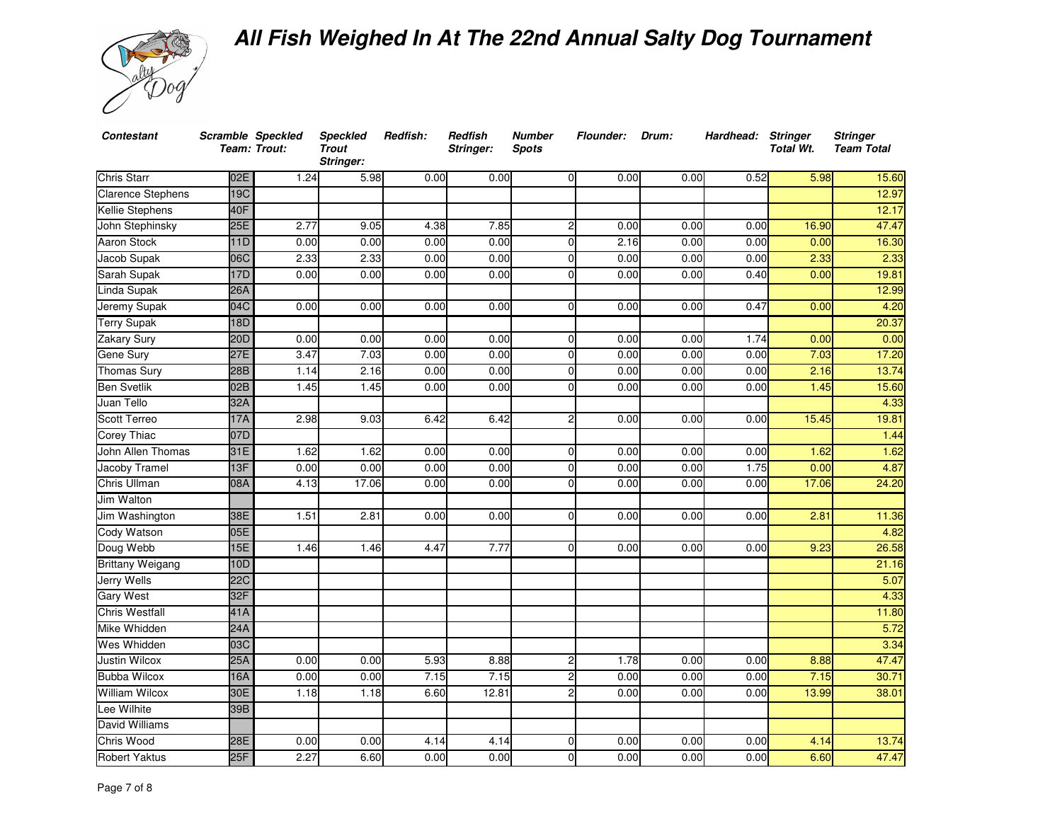

| <b>Contestant</b>        |            | Scramble Speckled<br>Team: Trout: | <b>Speckled</b><br><b>Trout</b><br>Stringer: | Redfish: | Redfish<br>Stringer: | <b>Number</b><br><b>Spots</b> | <b>Flounder:</b>     | Drum: | Hardhead: Stringer | <b>Total Wt.</b> | <b>Stringer</b><br><b>Team Total</b> |
|--------------------------|------------|-----------------------------------|----------------------------------------------|----------|----------------------|-------------------------------|----------------------|-------|--------------------|------------------|--------------------------------------|
| <b>Chris Starr</b>       | 02E        | 1.24                              | 5.98                                         | 0.00     | 0.00                 |                               | 0.00<br>$\Omega$     | 0.00  | 0.52               | 5.98             | 15.60                                |
| <b>Clarence Stephens</b> | 19C        |                                   |                                              |          |                      |                               |                      |       |                    |                  | 12.97                                |
| Kellie Stephens          | 40F        |                                   |                                              |          |                      |                               |                      |       |                    |                  | 12.17                                |
| John Stephinsky          | 25E        | 2.77                              | 9.05                                         | 4.38     | 7.85                 |                               | 0.00                 | 0.00  | 0.00               | 16.90            | 47.47                                |
| <b>Aaron Stock</b>       | 11D        | 0.00                              | 0.00                                         | 0.00     | 0.00                 |                               | 2.16<br>$\Omega$     | 0.00  | 0.00               | 0.00             | 16.30                                |
| Jacob Supak              | 06C        | 2.33                              | 2.33                                         | 0.00     | 0.00                 |                               | 0.00<br>$\mathbf{0}$ | 0.00  | 0.00               | 2.33             | 2.33                                 |
| Sarah Supak              | 17D        | 0.00                              | 0.00                                         | 0.00     | 0.00                 |                               | 0.00<br>$\Omega$     | 0.00  | 0.40               | 0.00             | 19.81                                |
| Linda Supak              | 26A        |                                   |                                              |          |                      |                               |                      |       |                    |                  | 12.99                                |
| Jeremy Supak             | 04C        | 0.00                              | 0.00                                         | 0.00     | 0.00                 | $\Omega$                      | 0.00                 | 0.00  | 0.47               | 0.00             | 4.20                                 |
| <b>Terry Supak</b>       | 18D        |                                   |                                              |          |                      |                               |                      |       |                    |                  | 20.37                                |
| Zakary Sury              | 20D        | 0.00                              | 0.00                                         | 0.00     | 0.00                 | $\Omega$                      | 0.00                 | 0.00  | 1.74               | 0.00             | 0.00                                 |
| Gene Sury                | 27E        | 3.47                              | 7.03                                         | 0.00     | 0.00                 |                               | 0.00<br>$\Omega$     | 0.00  | 0.00               | 7.03             | 17.20                                |
| <b>Thomas Sury</b>       | 28B        | 1.14                              | 2.16                                         | 0.00     | 0.00                 |                               | 0.00<br>$\Omega$     | 0.00  | 0.00               | 2.16             | 13.74                                |
| <b>Ben Svetlik</b>       | 02B        | 1.45                              | 1.45                                         | 0.00     | 0.00                 | $\Omega$                      | 0.00                 | 0.00  | 0.00               | 1.45             | 15.60                                |
| Juan Tello               | 32A        |                                   |                                              |          |                      |                               |                      |       |                    |                  | 4.33                                 |
| <b>Scott Terreo</b>      | <b>17A</b> | 2.98                              | 9.03                                         | 6.42     | 6.42                 | 2                             | 0.00                 | 0.00  | 0.00               | 15.45            | 19.81                                |
| Corey Thiac              | 07D        |                                   |                                              |          |                      |                               |                      |       |                    |                  | 1.44                                 |
| John Allen Thomas        | 31E        | 1.62                              | 1.62                                         | 0.00     | 0.00                 | $\Omega$                      | 0.00                 | 0.00  | 0.00               | 1.62             | 1.62                                 |
| Jacoby Tramel            | 13F        | 0.00                              | 0.00                                         | 0.00     | 0.00                 | $\Omega$                      | 0.00                 | 0.00  | 1.75               | 0.00             | 4.87                                 |
| Chris Ullman             | 08A        | 4.13                              | 17.06                                        | 0.00     | 0.00                 |                               | 0.00<br>$\Omega$     | 0.00  | 0.00               | 17.06            | 24.20                                |
| Jim Walton               |            |                                   |                                              |          |                      |                               |                      |       |                    |                  |                                      |
| Jim Washington           | 38E        | 1.51                              | 2.81                                         | 0.00     | 0.00                 | <sup>0</sup>                  | 0.00                 | 0.00  | 0.00               | 2.81             | 11.36                                |
| Cody Watson              | 05E        |                                   |                                              |          |                      |                               |                      |       |                    |                  | 4.82                                 |
| Doug Webb                | 15E        | 1.46                              | 1.46                                         | 4.47     | 7.77                 |                               | 0.00<br>$\Omega$     | 0.00  | 0.00               | 9.23             | 26.58                                |
| <b>Brittany Weigang</b>  | 10D        |                                   |                                              |          |                      |                               |                      |       |                    |                  | 21.16                                |
| <b>Jerry Wells</b>       | 22C        |                                   |                                              |          |                      |                               |                      |       |                    |                  | 5.07                                 |
| Gary West                | 32F        |                                   |                                              |          |                      |                               |                      |       |                    |                  | 4.33                                 |
| <b>Chris Westfall</b>    | 41A        |                                   |                                              |          |                      |                               |                      |       |                    |                  | 11.80                                |
| Mike Whidden             | 24A        |                                   |                                              |          |                      |                               |                      |       |                    |                  | 5.72                                 |
| Wes Whidden              | 03C        |                                   |                                              |          |                      |                               |                      |       |                    |                  | 3.34                                 |
| <b>Justin Wilcox</b>     | 25A        | 0.00                              | 0.00                                         | 5.93     | 8.88                 |                               | 1.78                 | 0.00  | 0.00               | 8.88             | 47.47                                |
| <b>Bubba Wilcox</b>      | 16A        | 0.00                              | 0.00                                         | 7.15     | 7.15                 |                               | 0.00                 | 0.00  | 0.00               | 7.15             | 30.71                                |
| <b>William Wilcox</b>    | 30E        | 1.18                              | 1.18                                         | 6.60     | 12.81                |                               | 0.00<br>2            | 0.00  | 0.00               | 13.99            | 38.01                                |
| ee Wilhite               | 39B        |                                   |                                              |          |                      |                               |                      |       |                    |                  |                                      |
| David Williams           |            |                                   |                                              |          |                      |                               |                      |       |                    |                  |                                      |
| Chris Wood               | 28E        | 0.00                              | 0.00                                         | 4.14     | 4.14                 | $\Omega$                      | 0.00                 | 0.00  | 0.00               | 4.14             | 13.74                                |
| <b>Robert Yaktus</b>     | 25F        | 2.27                              | 6.60                                         | 0.00     | 0.00                 |                               | 0.00<br>$\Omega$     | 0.00  | 0.00               | 6.60             | 47.47                                |